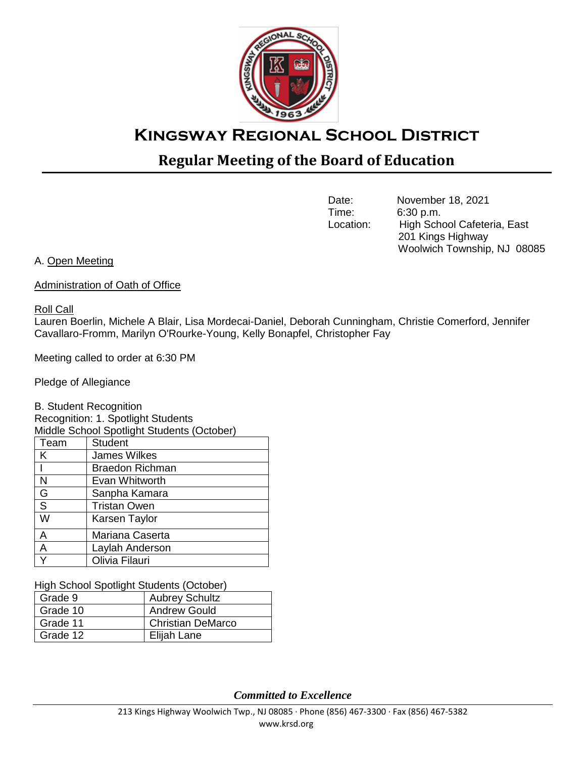

# **Kingsway Regional School District**

# **Regular Meeting of the Board of Education**

Date: November 18, 2021<br>Time: 6:30 p.m. 6:30 p.m. Location: High School Cafeteria, East 201 Kings Highway Woolwich Township, NJ 08085

A. Open Meeting

Administration of Oath of Office

## Roll Call

Lauren Boerlin, Michele A Blair, Lisa Mordecai-Daniel, Deborah Cunningham, Christie Comerford, Jennifer Cavallaro-Fromm, Marilyn O'Rourke-Young, Kelly Bonapfel, Christopher Fay

Meeting called to order at 6:30 PM

Pledge of Allegiance

B. Student Recognition Recognition: 1. Spotlight Students Middle School Spotlight Students (October)

| middic Ochool Opollight Olddenis (October) |                        |  |  |
|--------------------------------------------|------------------------|--|--|
| Team                                       | <b>Student</b>         |  |  |
| K                                          | <b>James Wilkes</b>    |  |  |
|                                            | <b>Braedon Richman</b> |  |  |
| N                                          | Evan Whitworth         |  |  |
| G                                          | Sanpha Kamara          |  |  |
| $\overline{s}$                             | <b>Tristan Owen</b>    |  |  |
| W                                          | Karsen Taylor          |  |  |
| A                                          | Mariana Caserta        |  |  |
| A                                          | Laylah Anderson        |  |  |
|                                            | Olivia Filauri         |  |  |

High School Spotlight Students (October)

| Grade 9  | <b>Aubrey Schultz</b>    |
|----------|--------------------------|
| Grade 10 | <b>Andrew Gould</b>      |
| Grade 11 | <b>Christian DeMarco</b> |
| Grade 12 | Elijah Lane              |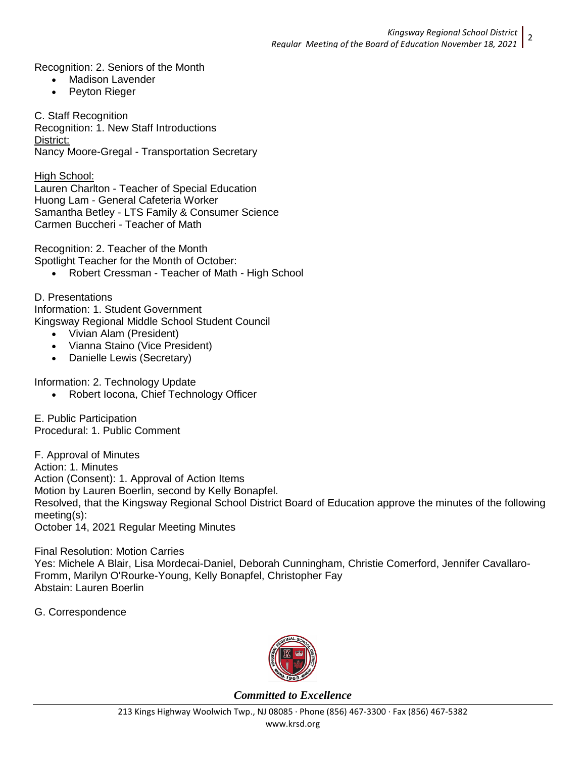Recognition: 2. Seniors of the Month

- Madison Lavender
- Peyton Rieger

C. Staff Recognition

Recognition: 1. New Staff Introductions District: Nancy Moore-Gregal - Transportation Secretary

High School:

Lauren Charlton - Teacher of Special Education Huong Lam - General Cafeteria Worker Samantha Betley - LTS Family & Consumer Science Carmen Buccheri - Teacher of Math

Recognition: 2. Teacher of the Month Spotlight Teacher for the Month of October:

• Robert Cressman - Teacher of Math - High School

D. Presentations Information: 1. Student Government Kingsway Regional Middle School Student Council

- Vivian Alam (President)
- Vianna Staino (Vice President)
- Danielle Lewis (Secretary)

Information: 2. Technology Update

Robert Iocona, Chief Technology Officer

E. Public Participation Procedural: 1. Public Comment

F. Approval of Minutes Action: 1. Minutes Action (Consent): 1. Approval of Action Items Motion by Lauren Boerlin, second by Kelly Bonapfel. Resolved, that the Kingsway Regional School District Board of Education approve the minutes of the following meeting(s): October 14, 2021 Regular Meeting Minutes

Final Resolution: Motion Carries Yes: Michele A Blair, Lisa Mordecai-Daniel, Deborah Cunningham, Christie Comerford, Jennifer Cavallaro-Fromm, Marilyn O'Rourke-Young, Kelly Bonapfel, Christopher Fay Abstain: Lauren Boerlin

G. Correspondence

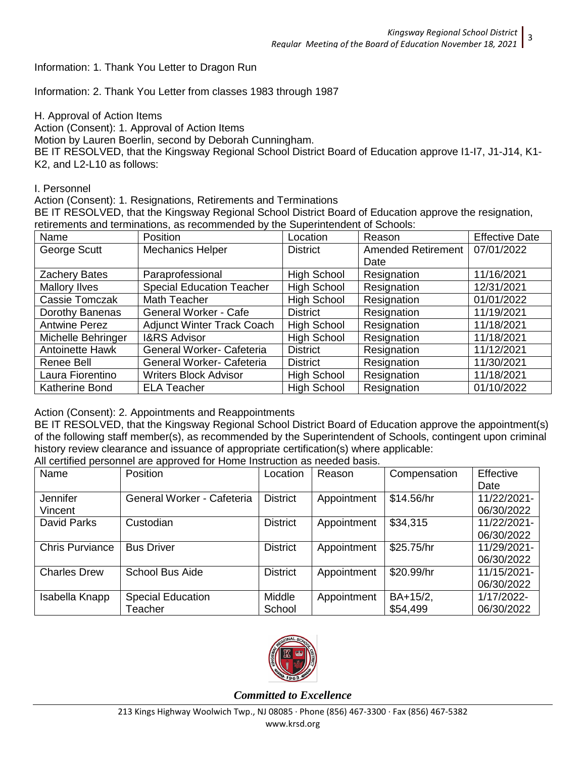Information: 1. Thank You Letter to Dragon Run

Information: 2. Thank You Letter from classes 1983 through 1987

H. Approval of Action Items

Action (Consent): 1. Approval of Action Items

Motion by Lauren Boerlin, second by Deborah Cunningham.

BE IT RESOLVED, that the Kingsway Regional School District Board of Education approve I1-I7, J1-J14, K1- K2, and L2-L10 as follows:

#### I. Personnel

Action (Consent): 1. Resignations, Retirements and Terminations

BE IT RESOLVED, that the Kingsway Regional School District Board of Education approve the resignation, retirements and terminations, as recommended by the Superintendent of Schools:

| Name                   | Position                          | Location           | Reason             | <b>Effective Date</b> |
|------------------------|-----------------------------------|--------------------|--------------------|-----------------------|
| George Scutt           | <b>Mechanics Helper</b>           | <b>District</b>    | Amended Retirement | 07/01/2022            |
|                        |                                   |                    | Date               |                       |
| Zachery Bates          | Paraprofessional                  | <b>High School</b> | Resignation        | 11/16/2021            |
| Mallory Ilves          | <b>Special Education Teacher</b>  | High School        | Resignation        | 12/31/2021            |
| Cassie Tomczak         | Math Teacher                      | High School        | Resignation        | 01/01/2022            |
| Dorothy Banenas        | <b>General Worker - Cafe</b>      | <b>District</b>    | Resignation        | 11/19/2021            |
| <b>Antwine Perez</b>   | <b>Adjunct Winter Track Coach</b> | High School        | Resignation        | 11/18/2021            |
| Michelle Behringer     | <b>I&amp;RS Advisor</b>           | <b>High School</b> | Resignation        | 11/18/2021            |
| <b>Antoinette Hawk</b> | General Worker- Cafeteria         | <b>District</b>    | Resignation        | 11/12/2021            |
| Renee Bell             | General Worker- Cafeteria         | <b>District</b>    | Resignation        | 11/30/2021            |
| Laura Fiorentino       | <b>Writers Block Advisor</b>      | High School        | Resignation        | 11/18/2021            |
| <b>Katherine Bond</b>  | <b>ELA Teacher</b>                | <b>High School</b> | Resignation        | 01/10/2022            |

#### Action (Consent): 2. Appointments and Reappointments

BE IT RESOLVED, that the Kingsway Regional School District Board of Education approve the appointment(s) of the following staff member(s), as recommended by the Superintendent of Schools, contingent upon criminal history review clearance and issuance of appropriate certification(s) where applicable:

All certified personnel are approved for Home Instruction as needed basis.

| Name                   | <b>Position</b>            | Location        | Reason      | Compensation | Effective   |
|------------------------|----------------------------|-----------------|-------------|--------------|-------------|
|                        |                            |                 |             |              | Date        |
| Jennifer               | General Worker - Cafeteria | <b>District</b> | Appointment | \$14.56/hr   | 11/22/2021- |
| Vincent                |                            |                 |             |              | 06/30/2022  |
| <b>David Parks</b>     | Custodian                  | <b>District</b> | Appointment | \$34,315     | 11/22/2021- |
|                        |                            |                 |             |              | 06/30/2022  |
| <b>Chris Purviance</b> | <b>Bus Driver</b>          | <b>District</b> | Appointment | \$25.75/hr   | 11/29/2021- |
|                        |                            |                 |             |              | 06/30/2022  |
| <b>Charles Drew</b>    | <b>School Bus Aide</b>     | <b>District</b> | Appointment | \$20.99/hr   | 11/15/2021- |
|                        |                            |                 |             |              | 06/30/2022  |
| Isabella Knapp         | <b>Special Education</b>   | Middle          | Appointment | BA+15/2,     | 1/17/2022-  |
|                        | Teacher                    | School          |             | \$54,499     | 06/30/2022  |

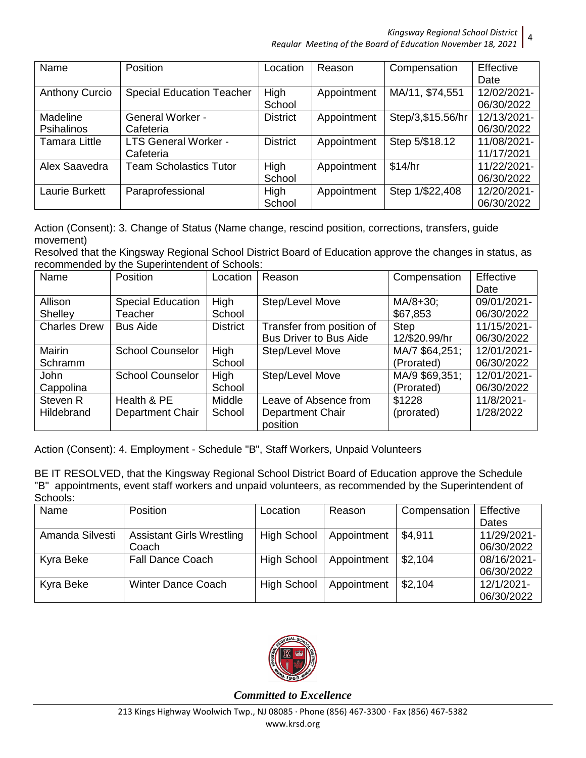| Name                  | <b>Position</b>                  | Location        | Reason      | Compensation       | Effective   |
|-----------------------|----------------------------------|-----------------|-------------|--------------------|-------------|
|                       |                                  |                 |             |                    | Date        |
| <b>Anthony Curcio</b> | <b>Special Education Teacher</b> | High            | Appointment | MA/11, \$74,551    | 12/02/2021- |
|                       |                                  | School          |             |                    | 06/30/2022  |
| Madeline              | <b>General Worker -</b>          | <b>District</b> | Appointment | Step/3, \$15.56/hr | 12/13/2021- |
| <b>Psihalinos</b>     | Cafeteria                        |                 |             |                    | 06/30/2022  |
| <b>Tamara Little</b>  | <b>LTS General Worker -</b>      | <b>District</b> | Appointment | Step 5/\$18.12     | 11/08/2021- |
|                       | Cafeteria                        |                 |             |                    | 11/17/2021  |
| Alex Saavedra         | <b>Team Scholastics Tutor</b>    | High            | Appointment | \$14/hr            | 11/22/2021- |
|                       |                                  | School          |             |                    | 06/30/2022  |
| Laurie Burkett        | Paraprofessional                 | High            | Appointment | Step 1/\$22,408    | 12/20/2021- |
|                       |                                  | School          |             |                    | 06/30/2022  |

Action (Consent): 3. Change of Status (Name change, rescind position, corrections, transfers, guide movement)

Resolved that the Kingsway Regional School District Board of Education approve the changes in status, as recommended by the Superintendent of Schools:

| Name                     | Position                            | Location              | Reason                                                       | Compensation                 | Effective<br>Date         |
|--------------------------|-------------------------------------|-----------------------|--------------------------------------------------------------|------------------------------|---------------------------|
| Allison<br>Shelley       | <b>Special Education</b><br>Teacher | High<br>School        | Step/Level Move                                              | MA/8+30;<br>\$67,853         | 09/01/2021-<br>06/30/2022 |
| <b>Charles Drew</b>      | <b>Bus Aide</b>                     | <b>District</b>       | Transfer from position of<br><b>Bus Driver to Bus Aide</b>   | <b>Step</b><br>12/\$20.99/hr | 11/15/2021-<br>06/30/2022 |
| <b>Mairin</b><br>Schramm | <b>School Counselor</b>             | High<br>School        | Step/Level Move                                              | MA/7 \$64,251;<br>(Prorated) | 12/01/2021-<br>06/30/2022 |
| <b>John</b><br>Cappolina | <b>School Counselor</b>             | <b>High</b><br>School | Step/Level Move                                              | MA/9 \$69,351;<br>(Prorated) | 12/01/2021-<br>06/30/2022 |
| Steven R<br>Hildebrand   | Health & PE<br>Department Chair     | Middle<br>School      | Leave of Absence from<br><b>Department Chair</b><br>position | \$1228<br>(prorated)         | 11/8/2021-<br>1/28/2022   |

Action (Consent): 4. Employment - Schedule "B", Staff Workers, Unpaid Volunteers

BE IT RESOLVED, that the Kingsway Regional School District Board of Education approve the Schedule "B" appointments, event staff workers and unpaid volunteers, as recommended by the Superintendent of Schools:

| Name            | Position                         | Location           | Reason      | Compensation | Effective   |
|-----------------|----------------------------------|--------------------|-------------|--------------|-------------|
|                 |                                  |                    |             |              | Dates       |
| Amanda Silvesti | <b>Assistant Girls Wrestling</b> | <b>High School</b> | Appointment | \$4,911      | 11/29/2021- |
|                 | Coach                            |                    |             |              | 06/30/2022  |
| Kyra Beke       | <b>Fall Dance Coach</b>          | <b>High School</b> | Appointment | \$2,104      | 08/16/2021- |
|                 |                                  |                    |             |              | 06/30/2022  |
| Kyra Beke       | <b>Winter Dance Coach</b>        | <b>High School</b> | Appointment | \$2,104      | 12/1/2021-  |
|                 |                                  |                    |             |              | 06/30/2022  |

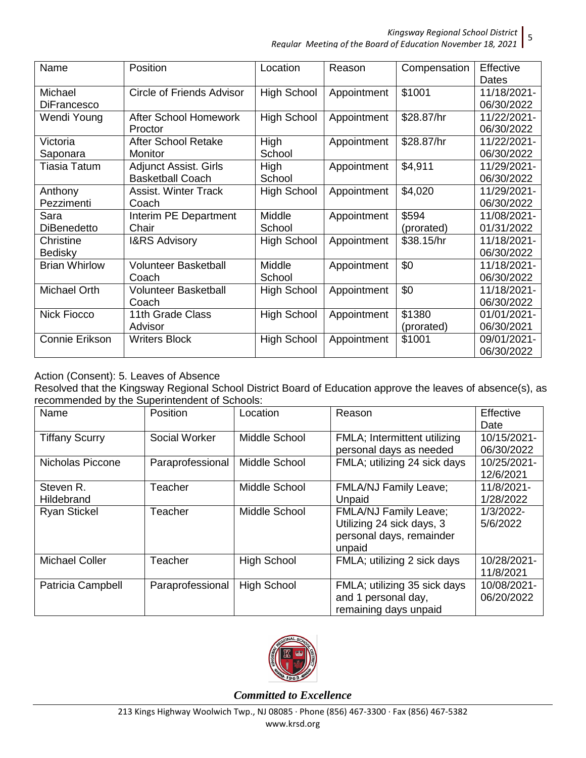| Name                 | Position                     | Location           | Reason      | Compensation | Effective   |
|----------------------|------------------------------|--------------------|-------------|--------------|-------------|
|                      |                              |                    |             |              | Dates       |
| Michael              | Circle of Friends Advisor    | <b>High School</b> | Appointment | \$1001       | 11/18/2021- |
| <b>DiFrancesco</b>   |                              |                    |             |              | 06/30/2022  |
| Wendi Young          | <b>After School Homework</b> | <b>High School</b> | Appointment | \$28.87/hr   | 11/22/2021- |
|                      | Proctor                      |                    |             |              | 06/30/2022  |
| Victoria             | <b>After School Retake</b>   | High               | Appointment | \$28.87/hr   | 11/22/2021- |
| Saponara             | Monitor                      | School             |             |              | 06/30/2022  |
| <b>Tiasia Tatum</b>  | <b>Adjunct Assist. Girls</b> | High               | Appointment | \$4,911      | 11/29/2021- |
|                      | <b>Basketball Coach</b>      | School             |             |              | 06/30/2022  |
| Anthony              | <b>Assist. Winter Track</b>  | <b>High School</b> | Appointment | \$4,020      | 11/29/2021- |
| Pezzimenti           | Coach                        |                    |             |              | 06/30/2022  |
| Sara                 | Interim PE Department        | Middle             | Appointment | \$594        | 11/08/2021- |
| <b>DiBenedetto</b>   | Chair                        | School             |             | (prorated)   | 01/31/2022  |
| Christine            | <b>I&amp;RS Advisory</b>     | <b>High School</b> | Appointment | \$38.15/hr   | 11/18/2021- |
| Bedisky              |                              |                    |             |              | 06/30/2022  |
| <b>Brian Whirlow</b> | <b>Volunteer Basketball</b>  | Middle             | Appointment | \$0          | 11/18/2021- |
|                      | Coach                        | School             |             |              | 06/30/2022  |
| Michael Orth         | <b>Volunteer Basketball</b>  | <b>High School</b> | Appointment | \$0          | 11/18/2021- |
|                      | Coach                        |                    |             |              | 06/30/2022  |
| <b>Nick Fiocco</b>   | 11th Grade Class             | <b>High School</b> | Appointment | \$1380       | 01/01/2021- |
|                      | Advisor                      |                    |             | (prorated)   | 06/30/2021  |
| Connie Erikson       | <b>Writers Block</b>         | <b>High School</b> | Appointment | \$1001       | 09/01/2021- |
|                      |                              |                    |             |              | 06/30/2022  |

Action (Consent): 5. Leaves of Absence

Resolved that the Kingsway Regional School District Board of Education approve the leaves of absence(s), as recommended by the Superintendent of Schools:

| Name                    | Position         | Location           | Reason                                                                                   | Effective<br>Date         |
|-------------------------|------------------|--------------------|------------------------------------------------------------------------------------------|---------------------------|
| <b>Tiffany Scurry</b>   | Social Worker    | Middle School      | FMLA; Intermittent utilizing<br>personal days as needed                                  | 10/15/2021-<br>06/30/2022 |
| Nicholas Piccone        | Paraprofessional | Middle School      | FMLA; utilizing 24 sick days                                                             | 10/25/2021-<br>12/6/2021  |
| Steven R.<br>Hildebrand | Teacher          | Middle School      | <b>FMLA/NJ Family Leave;</b><br>Unpaid                                                   | 11/8/2021-<br>1/28/2022   |
| <b>Ryan Stickel</b>     | Teacher          | Middle School      | FMLA/NJ Family Leave;<br>Utilizing 24 sick days, 3<br>personal days, remainder<br>unpaid | 1/3/2022-<br>5/6/2022     |
| <b>Michael Coller</b>   | Teacher          | <b>High School</b> | FMLA; utilizing 2 sick days                                                              | 10/28/2021-<br>11/8/2021  |
| Patricia Campbell       | Paraprofessional | <b>High School</b> | FMLA; utilizing 35 sick days<br>and 1 personal day,<br>remaining days unpaid             | 10/08/2021-<br>06/20/2022 |

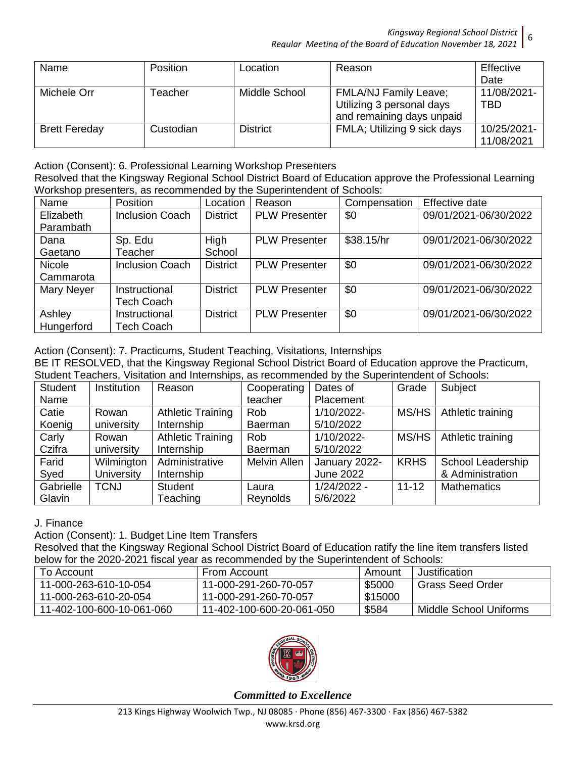| Name                 | <b>Position</b> | Location        | Reason                       | Effective   |
|----------------------|-----------------|-----------------|------------------------------|-------------|
|                      |                 |                 |                              | Date        |
| Michele Orr          | Геасһег         | Middle School   | <b>FMLA/NJ Family Leave;</b> | 11/08/2021- |
|                      |                 |                 | Utilizing 3 personal days    | TBD         |
|                      |                 |                 | and remaining days unpaid    |             |
| <b>Brett Fereday</b> | Custodian       | <b>District</b> | FMLA; Utilizing 9 sick days  | 10/25/2021- |
|                      |                 |                 |                              | 11/08/2021  |

Action (Consent): 6. Professional Learning Workshop Presenters

Resolved that the Kingsway Regional School District Board of Education approve the Professional Learning Workshop presenters, as recommended by the Superintendent of Schools:

| Name          | <b>Position</b>        | Location        | Reason               | Compensation | Effective date        |
|---------------|------------------------|-----------------|----------------------|--------------|-----------------------|
| Elizabeth     | <b>Inclusion Coach</b> | <b>District</b> | <b>PLW Presenter</b> | \$0          | 09/01/2021-06/30/2022 |
| Parambath     |                        |                 |                      |              |                       |
| Dana          | Sp. Edu                | High            | <b>PLW Presenter</b> | \$38.15/hr   | 09/01/2021-06/30/2022 |
| Gaetano       | <b>Teacher</b>         | School          |                      |              |                       |
| <b>Nicole</b> | <b>Inclusion Coach</b> | <b>District</b> | <b>PLW Presenter</b> | \$0          | 09/01/2021-06/30/2022 |
| Cammarota     |                        |                 |                      |              |                       |
| Mary Neyer    | Instructional          | <b>District</b> | <b>PLW Presenter</b> | \$0          | 09/01/2021-06/30/2022 |
|               | <b>Tech Coach</b>      |                 |                      |              |                       |
| Ashley        | Instructional          | <b>District</b> | <b>PLW Presenter</b> | \$0          | 09/01/2021-06/30/2022 |
| Hungerford    | <b>Tech Coach</b>      |                 |                      |              |                       |

Action (Consent): 7. Practicums, Student Teaching, Visitations, Internships

BE IT RESOLVED, that the Kingsway Regional School District Board of Education approve the Practicum, Student Teachers, Visitation and Internships, as recommended by the Superintendent of Schools:

| <b>Student</b> | Institution       | Reason                   | Cooperating         | Dates of         | Grade       | Subject                  |
|----------------|-------------------|--------------------------|---------------------|------------------|-------------|--------------------------|
| Name           |                   |                          | teacher             | Placement        |             |                          |
| Catie          | Rowan             | <b>Athletic Training</b> | <b>Rob</b>          | 1/10/2022-       | MS/HS       | Athletic training        |
| Koenig         | university        | Internship               | Baerman             | 5/10/2022        |             |                          |
| Carly          | Rowan             | <b>Athletic Training</b> | Rob                 | 1/10/2022-       | MS/HS       | Athletic training        |
| Czifra         | university        | Internship               | Baerman             | 5/10/2022        |             |                          |
| Farid          | Wilmington        | Administrative           | <b>Melvin Allen</b> | January 2022-    | <b>KRHS</b> | <b>School Leadership</b> |
| Syed           | <b>University</b> | Internship               |                     | <b>June 2022</b> |             | & Administration         |
| Gabrielle      | <b>TCNJ</b>       | <b>Student</b>           | Laura               | $1/24/2022 -$    | $11 - 12$   | <b>Mathematics</b>       |
| Glavin         |                   | Teaching                 | Reynolds            | 5/6/2022         |             |                          |

J. Finance

Action (Consent): 1. Budget Line Item Transfers

Resolved that the Kingsway Regional School District Board of Education ratify the line item transfers listed below for the 2020-2021 fiscal year as recommended by the Superintendent of Schools:

| <u>NUIVILIUI LULU LULU LUL LIIUUUL TUULUU UUUIIIIIUIIUUU NT TIIV UUNUIIIIIUIIIUUI UUIIUUIU.</u> |                           |         |                        |  |  |  |  |
|-------------------------------------------------------------------------------------------------|---------------------------|---------|------------------------|--|--|--|--|
| To Account                                                                                      | From Account              | Amount  | Justification          |  |  |  |  |
| 11-000-263-610-10-054                                                                           | 11-000-291-260-70-057     | \$5000  | Grass Seed Order       |  |  |  |  |
| 11-000-263-610-20-054                                                                           | 11-000-291-260-70-057     | \$15000 |                        |  |  |  |  |
| 11-402-100-600-10-061-060                                                                       | 11-402-100-600-20-061-050 | \$584   | Middle School Uniforms |  |  |  |  |

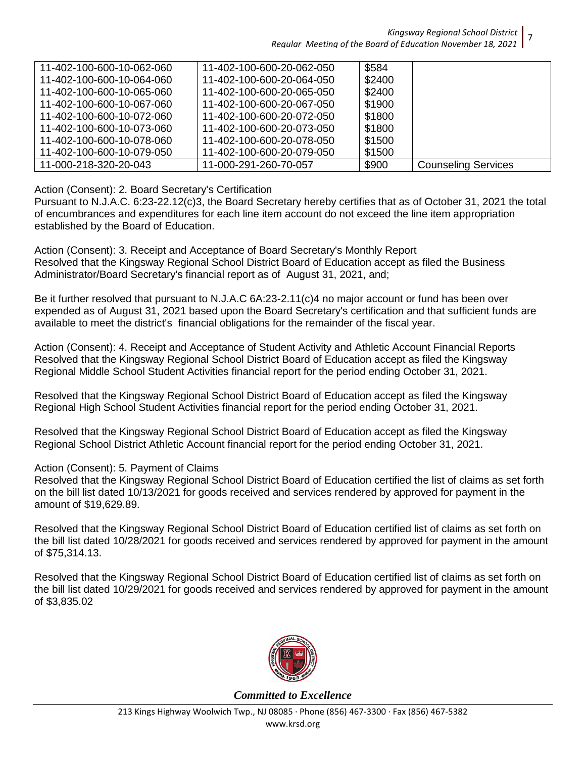| 11-402-100-600-10-062-060 | 11-402-100-600-20-062-050 | \$584  |                            |
|---------------------------|---------------------------|--------|----------------------------|
| 11-402-100-600-10-064-060 | 11-402-100-600-20-064-050 | \$2400 |                            |
| 11-402-100-600-10-065-060 | 11-402-100-600-20-065-050 | \$2400 |                            |
| 11-402-100-600-10-067-060 | 11-402-100-600-20-067-050 | \$1900 |                            |
| 11-402-100-600-10-072-060 | 11-402-100-600-20-072-050 | \$1800 |                            |
| 11-402-100-600-10-073-060 | 11-402-100-600-20-073-050 | \$1800 |                            |
| 11-402-100-600-10-078-060 | 11-402-100-600-20-078-050 | \$1500 |                            |
| 11-402-100-600-10-079-050 | 11-402-100-600-20-079-050 | \$1500 |                            |
| 11-000-218-320-20-043     | 11-000-291-260-70-057     | \$900  | <b>Counseling Services</b> |

#### Action (Consent): 2. Board Secretary's Certification

Pursuant to N.J.A.C. 6:23-22.12(c)3, the Board Secretary hereby certifies that as of October 31, 2021 the total of encumbrances and expenditures for each line item account do not exceed the line item appropriation established by the Board of Education.

Action (Consent): 3. Receipt and Acceptance of Board Secretary's Monthly Report Resolved that the Kingsway Regional School District Board of Education accept as filed the Business Administrator/Board Secretary's financial report as of August 31, 2021, and;

Be it further resolved that pursuant to N.J.A.C 6A:23-2.11(c)4 no major account or fund has been over expended as of August 31, 2021 based upon the Board Secretary's certification and that sufficient funds are available to meet the district's financial obligations for the remainder of the fiscal year.

Action (Consent): 4. Receipt and Acceptance of Student Activity and Athletic Account Financial Reports Resolved that the Kingsway Regional School District Board of Education accept as filed the Kingsway Regional Middle School Student Activities financial report for the period ending October 31, 2021.

Resolved that the Kingsway Regional School District Board of Education accept as filed the Kingsway Regional High School Student Activities financial report for the period ending October 31, 2021.

Resolved that the Kingsway Regional School District Board of Education accept as filed the Kingsway Regional School District Athletic Account financial report for the period ending October 31, 2021.

Action (Consent): 5. Payment of Claims

Resolved that the Kingsway Regional School District Board of Education certified the list of claims as set forth on the bill list dated 10/13/2021 for goods received and services rendered by approved for payment in the amount of \$19,629.89.

Resolved that the Kingsway Regional School District Board of Education certified list of claims as set forth on the bill list dated 10/28/2021 for goods received and services rendered by approved for payment in the amount of \$75,314.13.

Resolved that the Kingsway Regional School District Board of Education certified list of claims as set forth on the bill list dated 10/29/2021 for goods received and services rendered by approved for payment in the amount of \$3,835.02



*Committed to Excellence*

7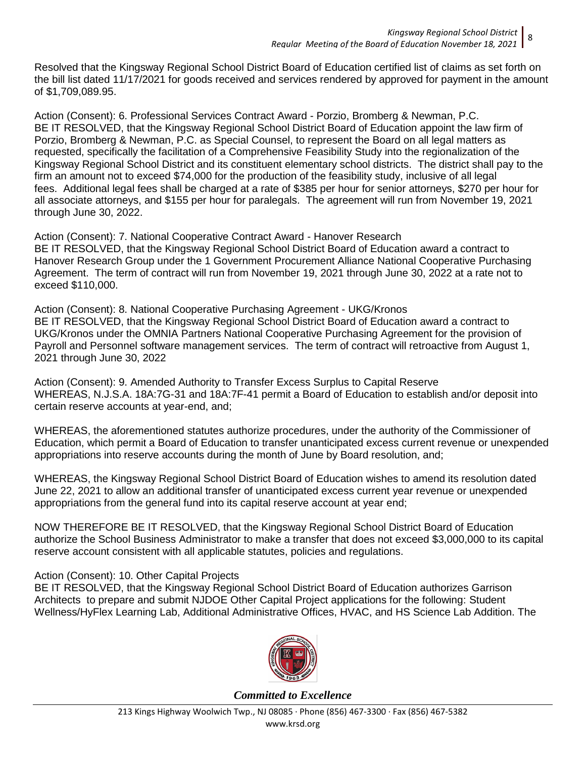Resolved that the Kingsway Regional School District Board of Education certified list of claims as set forth on the bill list dated 11/17/2021 for goods received and services rendered by approved for payment in the amount of \$1,709,089.95.

Action (Consent): 6. Professional Services Contract Award - Porzio, Bromberg & Newman, P.C. BE IT RESOLVED, that the Kingsway Regional School District Board of Education appoint the law firm of Porzio, Bromberg & Newman, P.C. as Special Counsel, to represent the Board on all legal matters as requested, specifically the facilitation of a Comprehensive Feasibility Study into the regionalization of the Kingsway Regional School District and its constituent elementary school districts. The district shall pay to the firm an amount not to exceed \$74,000 for the production of the feasibility study, inclusive of all legal fees. Additional legal fees shall be charged at a rate of \$385 per hour for senior attorneys, \$270 per hour for all associate attorneys, and \$155 per hour for paralegals. The agreement will run from November 19, 2021 through June 30, 2022.

Action (Consent): 7. National Cooperative Contract Award - Hanover Research BE IT RESOLVED, that the Kingsway Regional School District Board of Education award a contract to Hanover Research Group under the 1 Government Procurement Alliance National Cooperative Purchasing Agreement. The term of contract will run from November 19, 2021 through June 30, 2022 at a rate not to exceed \$110,000.

Action (Consent): 8. National Cooperative Purchasing Agreement - UKG/Kronos BE IT RESOLVED, that the Kingsway Regional School District Board of Education award a contract to UKG/Kronos under the OMNIA Partners National Cooperative Purchasing Agreement for the provision of Payroll and Personnel software management services. The term of contract will retroactive from August 1, 2021 through June 30, 2022

Action (Consent): 9. Amended Authority to Transfer Excess Surplus to Capital Reserve WHEREAS, N.J.S.A. 18A:7G-31 and 18A:7F-41 permit a Board of Education to establish and/or deposit into certain reserve accounts at year-end, and;

WHEREAS, the aforementioned statutes authorize procedures, under the authority of the Commissioner of Education, which permit a Board of Education to transfer unanticipated excess current revenue or unexpended appropriations into reserve accounts during the month of June by Board resolution, and;

WHEREAS, the Kingsway Regional School District Board of Education wishes to amend its resolution dated June 22, 2021 to allow an additional transfer of unanticipated excess current year revenue or unexpended appropriations from the general fund into its capital reserve account at year end;

NOW THEREFORE BE IT RESOLVED, that the Kingsway Regional School District Board of Education authorize the School Business Administrator to make a transfer that does not exceed \$3,000,000 to its capital reserve account consistent with all applicable statutes, policies and regulations.

## Action (Consent): 10. Other Capital Projects

BE IT RESOLVED, that the Kingsway Regional School District Board of Education authorizes Garrison Architects to prepare and submit NJDOE Other Capital Project applications for the following: Student Wellness/HyFlex Learning Lab, Additional Administrative Offices, HVAC, and HS Science Lab Addition. The

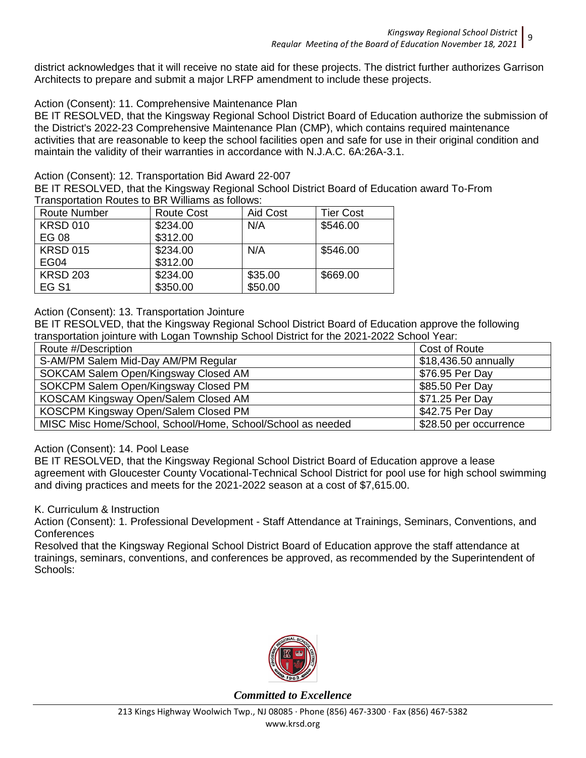district acknowledges that it will receive no state aid for these projects. The district further authorizes Garrison Architects to prepare and submit a major LRFP amendment to include these projects.

## Action (Consent): 11. Comprehensive Maintenance Plan

BE IT RESOLVED, that the Kingsway Regional School District Board of Education authorize the submission of the District's 2022-23 Comprehensive Maintenance Plan (CMP), which contains required maintenance activities that are reasonable to keep the school facilities open and safe for use in their original condition and maintain the validity of their warranties in accordance with N.J.A.C. 6A:26A-3.1.

#### Action (Consent): 12. Transportation Bid Award 22-007

BE IT RESOLVED, that the Kingsway Regional School District Board of Education award To-From Transportation Routes to BR Williams as follows:

| <b>Route Number</b> | <b>Route Cost</b> | Aid Cost | <b>Tier Cost</b> |
|---------------------|-------------------|----------|------------------|
| <b>KRSD 010</b>     | \$234.00          | N/A      | \$546.00         |
| EG 08               | \$312.00          |          |                  |
| <b>KRSD 015</b>     | \$234.00          | N/A      | \$546.00         |
| EG04                | \$312.00          |          |                  |
| <b>KRSD 203</b>     | \$234.00          | \$35.00  | \$669.00         |
| EG <sub>S1</sub>    | \$350.00          | \$50.00  |                  |

## Action (Consent): 13. Transportation Jointure

BE IT RESOLVED, that the Kingsway Regional School District Board of Education approve the following transportation jointure with Logan Township School District for the 2021-2022 School Year:

| Route #/Description                                         | Cost of Route          |
|-------------------------------------------------------------|------------------------|
| S-AM/PM Salem Mid-Day AM/PM Regular                         | \$18,436.50 annually   |
| SOKCAM Salem Open/Kingsway Closed AM                        | \$76.95 Per Day        |
| SOKCPM Salem Open/Kingsway Closed PM                        | \$85.50 Per Day        |
| KOSCAM Kingsway Open/Salem Closed AM                        | \$71.25 Per Day        |
| KOSCPM Kingsway Open/Salem Closed PM                        | \$42.75 Per Day        |
| MISC Misc Home/School, School/Home, School/School as needed | \$28.50 per occurrence |

## Action (Consent): 14. Pool Lease

BE IT RESOLVED, that the Kingsway Regional School District Board of Education approve a lease agreement with Gloucester County Vocational-Technical School District for pool use for high school swimming and diving practices and meets for the 2021-2022 season at a cost of \$7,615.00.

#### K. Curriculum & Instruction

Action (Consent): 1. Professional Development - Staff Attendance at Trainings, Seminars, Conventions, and **Conferences** 

Resolved that the Kingsway Regional School District Board of Education approve the staff attendance at trainings, seminars, conventions, and conferences be approved, as recommended by the Superintendent of Schools:

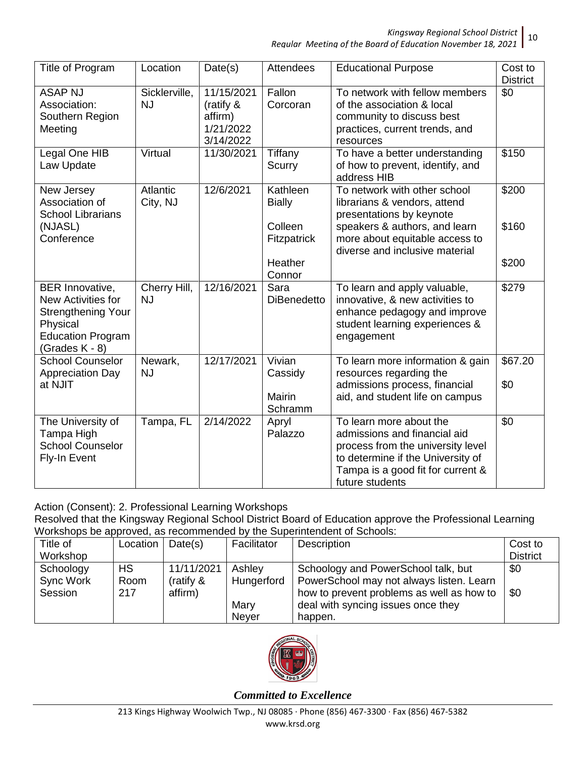*Kingsway Regional School District* 10

*Regular Meeting of the Board of Education November 18, 2021*

| Title of Program                                                                                                                       | Location                   | Date(s)                                                      | <b>Attendees</b>           | <b>Educational Purpose</b>                                                                                                                                                                | Cost to<br><b>District</b> |
|----------------------------------------------------------------------------------------------------------------------------------------|----------------------------|--------------------------------------------------------------|----------------------------|-------------------------------------------------------------------------------------------------------------------------------------------------------------------------------------------|----------------------------|
| <b>ASAP NJ</b><br>Association:<br>Southern Region<br>Meeting                                                                           | Sicklerville,<br><b>NJ</b> | 11/15/2021<br>(ratify &<br>affirm)<br>1/21/2022<br>3/14/2022 | Fallon<br>Corcoran         | To network with fellow members<br>of the association & local<br>community to discuss best<br>practices, current trends, and<br>resources                                                  | \$0                        |
| Legal One HIB<br>Law Update                                                                                                            | Virtual                    | 11/30/2021                                                   | Tiffany<br>Scurry          | To have a better understanding<br>of how to prevent, identify, and<br>address HIB                                                                                                         | \$150                      |
| New Jersey<br>Association of<br><b>School Librarians</b>                                                                               | Atlantic<br>City, NJ       | 12/6/2021                                                    | Kathleen<br><b>Bially</b>  | To network with other school<br>librarians & vendors, attend<br>presentations by keynote                                                                                                  | \$200                      |
| (NJASL)<br>Conference                                                                                                                  |                            |                                                              | Colleen<br>Fitzpatrick     | speakers & authors, and learn<br>more about equitable access to<br>diverse and inclusive material                                                                                         | \$160                      |
|                                                                                                                                        |                            |                                                              | Heather<br>Connor          |                                                                                                                                                                                           | \$200                      |
| <b>BER Innovative,</b><br>New Activities for<br><b>Strengthening Your</b><br>Physical<br><b>Education Program</b><br>(Grades $K - 8$ ) | Cherry Hill,<br><b>NJ</b>  | 12/16/2021                                                   | Sara<br><b>DiBenedetto</b> | To learn and apply valuable,<br>innovative, & new activities to<br>enhance pedagogy and improve<br>student learning experiences &<br>engagement                                           | \$279                      |
| <b>School Counselor</b><br><b>Appreciation Day</b>                                                                                     | Newark,<br><b>NJ</b>       | 12/17/2021                                                   | Vivian<br>Cassidy          | To learn more information & gain<br>resources regarding the                                                                                                                               | \$67.20                    |
| at NJIT                                                                                                                                |                            |                                                              | Mairin<br>Schramm          | admissions process, financial<br>aid, and student life on campus                                                                                                                          | \$0                        |
| The University of<br>Tampa High<br><b>School Counselor</b><br>Fly-In Event                                                             | Tampa, FL                  | 2/14/2022                                                    | Apryl<br>Palazzo           | To learn more about the<br>admissions and financial aid<br>process from the university level<br>to determine if the University of<br>Tampa is a good fit for current &<br>future students | \$0                        |

Action (Consent): 2. Professional Learning Workshops Resolved that the Kingsway Regional School District Board of Education approve the Professional Learning Workshops be approved, as recommended by the Superintendent of Schools:

| Title of  | Location  | Date(s)      | Facilitator  | Description                               | Cost to         |
|-----------|-----------|--------------|--------------|-------------------------------------------|-----------------|
| Workshop  |           |              |              |                                           | <b>District</b> |
| Schoology | <b>HS</b> | 11/11/2021   | Ashley       | Schoology and PowerSchool talk, but       | \$0             |
| Sync Work | Room      | (ratify $\&$ | Hungerford   | PowerSchool may not always listen. Learn  |                 |
| Session   | 217       | affirm)      |              | how to prevent problems as well as how to | \$0             |
|           |           |              | Mary         | deal with syncing issues once they        |                 |
|           |           |              | <b>Never</b> | happen.                                   |                 |

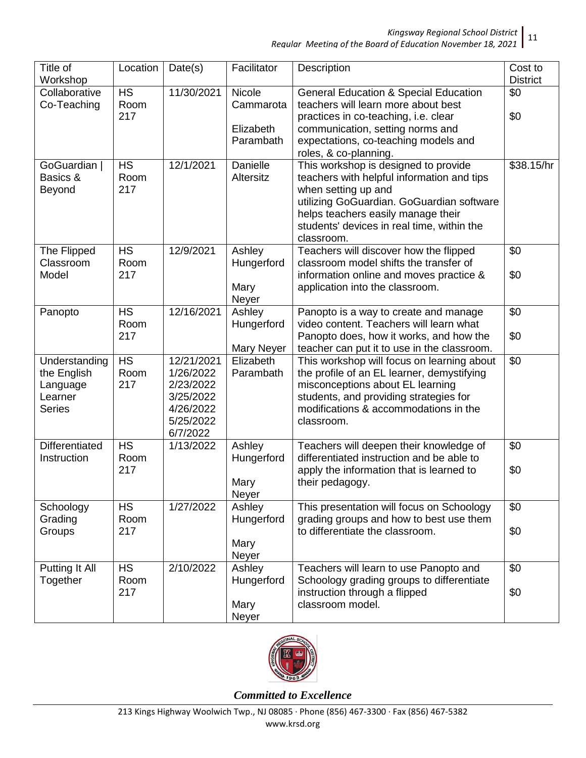*Kingsway Regional School District*

| Title of<br>Workshop                                                 | Location                 | Date(s)                                                                                 | Facilitator                           | Description                                                                                                                                                                                                                                              | Cost to<br><b>District</b> |
|----------------------------------------------------------------------|--------------------------|-----------------------------------------------------------------------------------------|---------------------------------------|----------------------------------------------------------------------------------------------------------------------------------------------------------------------------------------------------------------------------------------------------------|----------------------------|
| Collaborative<br>Co-Teaching                                         | <b>HS</b><br>Room<br>217 | 11/30/2021                                                                              | Nicole<br>Cammarota<br>Elizabeth      | <b>General Education &amp; Special Education</b><br>teachers will learn more about best<br>practices in co-teaching, i.e. clear<br>communication, setting norms and                                                                                      | \$0<br>\$0                 |
|                                                                      |                          |                                                                                         | Parambath                             | expectations, co-teaching models and<br>roles, & co-planning.                                                                                                                                                                                            |                            |
| GoGuardian<br>Basics &<br>Beyond                                     | <b>HS</b><br>Room<br>217 | 12/1/2021                                                                               | <b>Danielle</b><br>Altersitz          | This workshop is designed to provide<br>teachers with helpful information and tips<br>when setting up and<br>utilizing GoGuardian. GoGuardian software<br>helps teachers easily manage their<br>students' devices in real time, within the<br>classroom. | \$38.15/hr                 |
| The Flipped<br>Classroom<br>Model                                    | <b>HS</b><br>Room<br>217 | 12/9/2021                                                                               | Ashley<br>Hungerford<br>Mary<br>Neyer | Teachers will discover how the flipped<br>classroom model shifts the transfer of<br>information online and moves practice &<br>application into the classroom.                                                                                           | \$0<br>\$0                 |
| Panopto                                                              | <b>HS</b><br>Room<br>217 | 12/16/2021                                                                              | Ashley<br>Hungerford<br>Mary Neyer    | Panopto is a way to create and manage<br>video content. Teachers will learn what<br>Panopto does, how it works, and how the<br>teacher can put it to use in the classroom.                                                                               | \$0<br>\$0                 |
| Understanding<br>the English<br>Language<br>Learner<br><b>Series</b> | <b>HS</b><br>Room<br>217 | 12/21/2021<br>1/26/2022<br>2/23/2022<br>3/25/2022<br>4/26/2022<br>5/25/2022<br>6/7/2022 | Elizabeth<br>Parambath                | This workshop will focus on learning about<br>the profile of an EL learner, demystifying<br>misconceptions about EL learning<br>students, and providing strategies for<br>modifications & accommodations in the<br>classroom.                            | \$0                        |
| <b>Differentiated</b><br>Instruction                                 | <b>HS</b><br>Room<br>217 | 1/13/2022                                                                               | Ashley<br>Hungerford<br>Mary<br>Neyer | Teachers will deepen their knowledge of<br>differentiated instruction and be able to<br>apply the information that is learned to<br>their pedagogy.                                                                                                      | \$0<br>\$0                 |
| Schoology<br>Grading<br>Groups                                       | <b>HS</b><br>Room<br>217 | 1/27/2022                                                                               | Ashley<br>Hungerford<br>Mary<br>Neyer | This presentation will focus on Schoology<br>grading groups and how to best use them<br>to differentiate the classroom.                                                                                                                                  | \$0<br>\$0                 |
| Putting It All<br>Together                                           | <b>HS</b><br>Room<br>217 | 2/10/2022                                                                               | Ashley<br>Hungerford<br>Mary<br>Neyer | Teachers will learn to use Panopto and<br>Schoology grading groups to differentiate<br>instruction through a flipped<br>classroom model.                                                                                                                 | \$0<br>\$0                 |

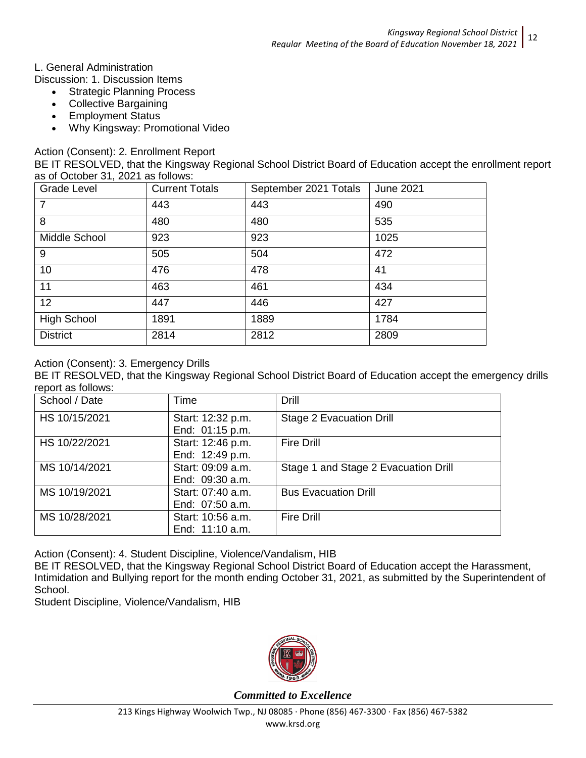## L. General Administration

Discussion: 1. Discussion Items

- Strategic Planning Process
- Collective Bargaining
- Employment Status
- Why Kingsway: Promotional Video

Action (Consent): 2. Enrollment Report

BE IT RESOLVED, that the Kingsway Regional School District Board of Education accept the enrollment report as of October 31, 2021 as follows:

| Grade Level        | <b>Current Totals</b> | September 2021 Totals | <b>June 2021</b> |
|--------------------|-----------------------|-----------------------|------------------|
| $\overline{7}$     | 443                   | 443                   | 490              |
| 8                  | 480                   | 480                   | 535              |
| Middle School      | 923                   | 923                   | 1025             |
| 9                  | 505                   | 504                   | 472              |
| 10                 | 476                   | 478                   | 41               |
| 11                 | 463                   | 461                   | 434              |
| 12 <sup>2</sup>    | 447                   | 446                   | 427              |
| <b>High School</b> | 1891                  | 1889                  | 1784             |
| <b>District</b>    | 2814                  | 2812                  | 2809             |

## Action (Consent): 3. Emergency Drills

BE IT RESOLVED, that the Kingsway Regional School District Board of Education accept the emergency drills report as follows:

| School / Date | Time              | Drill                                |
|---------------|-------------------|--------------------------------------|
| HS 10/15/2021 | Start: 12:32 p.m. | <b>Stage 2 Evacuation Drill</b>      |
|               | End: 01:15 p.m.   |                                      |
| HS 10/22/2021 | Start: 12:46 p.m. | <b>Fire Drill</b>                    |
|               | End: 12:49 p.m.   |                                      |
| MS 10/14/2021 | Start: 09:09 a.m. | Stage 1 and Stage 2 Evacuation Drill |
|               | End: 09:30 a.m.   |                                      |
| MS 10/19/2021 | Start: 07:40 a.m. | <b>Bus Evacuation Drill</b>          |
|               | End: 07:50 a.m.   |                                      |
| MS 10/28/2021 | Start: 10:56 a.m. | <b>Fire Drill</b>                    |
|               | End: 11:10 a.m.   |                                      |

Action (Consent): 4. Student Discipline, Violence/Vandalism, HIB

BE IT RESOLVED, that the Kingsway Regional School District Board of Education accept the Harassment, Intimidation and Bullying report for the month ending October 31, 2021, as submitted by the Superintendent of School.

Student Discipline, Violence/Vandalism, HIB

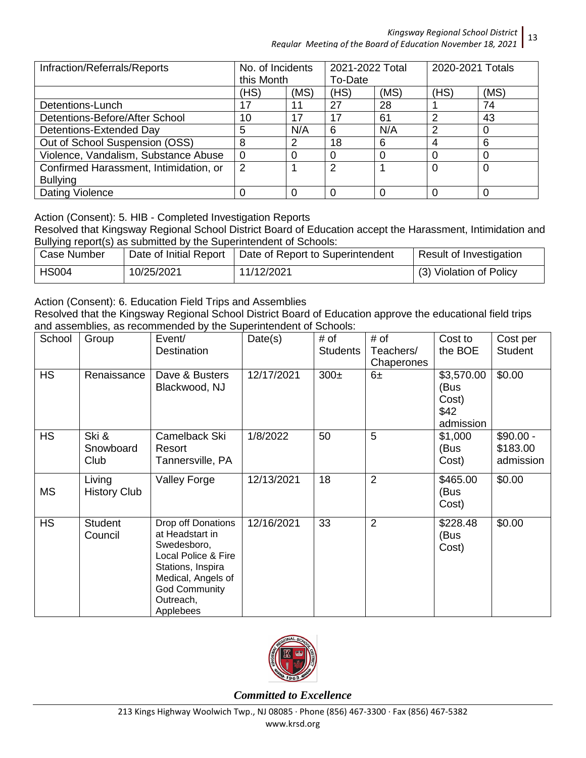| Infraction/Referrals/Reports           | No. of Incidents<br>this Month |      | 2021-2022 Total<br>To-Date |      | 2020-2021 Totals |      |
|----------------------------------------|--------------------------------|------|----------------------------|------|------------------|------|
|                                        | (HS)                           | (MS) | (HS)                       | (MS) | (HS)             | (MS) |
| Detentions-Lunch                       | 17                             | 11   | 27                         | 28   |                  | 74   |
| Detentions-Before/After School         | 10                             | 17   | 17                         | 61   | Ω                | 43   |
| Detentions-Extended Day                | 5                              | N/A  | 6                          | N/A  | っ                |      |
| Out of School Suspension (OSS)         | 8                              | 2    | 18                         | 6    |                  | 6    |
| Violence, Vandalism, Substance Abuse   | 0                              |      | 0                          |      |                  |      |
| Confirmed Harassment, Intimidation, or | 2                              |      | 2                          |      | 0                |      |
| <b>Bullying</b>                        |                                |      |                            |      |                  |      |
| Dating Violence                        |                                |      | 0                          |      |                  |      |

Action (Consent): 5. HIB - Completed Investigation Reports

Resolved that Kingsway Regional School District Board of Education accept the Harassment, Intimidation and Bullying report(s) as submitted by the Superintendent of Schools:

| Case Number  | Date of Initial Report | Date of Report to Superintendent | Result of Investigation |
|--------------|------------------------|----------------------------------|-------------------------|
| <b>HS004</b> | 10/25/2021             | 11/12/2021                       | (3) Violation of Policy |

Action (Consent): 6. Education Field Trips and Assemblies

Resolved that the Kingsway Regional School District Board of Education approve the educational field trips and assemblies, as recommended by the Superintendent of Schools:

| School    | Group               | Event/                                     | Date(s)    | # of            | # of           | Cost to    | Cost per   |
|-----------|---------------------|--------------------------------------------|------------|-----------------|----------------|------------|------------|
|           |                     | Destination                                |            | <b>Students</b> | Teachers/      | the BOE    | Student    |
|           |                     |                                            |            |                 | Chaperones     |            |            |
| <b>HS</b> | Renaissance         | Dave & Busters                             | 12/17/2021 | $300\pm$        | $6\pm$         | \$3,570.00 | \$0.00     |
|           |                     | Blackwood, NJ                              |            |                 |                | (Bus       |            |
|           |                     |                                            |            |                 |                | Cost)      |            |
|           |                     |                                            |            |                 |                | \$42       |            |
|           |                     |                                            |            |                 |                | admission  |            |
| <b>HS</b> | Ski &               | Camelback Ski                              | 1/8/2022   | 50              | 5              | \$1,000    | $$90.00 -$ |
|           | Snowboard           | Resort                                     |            |                 |                | (Bus       | \$183.00   |
|           | Club                | Tannersville, PA                           |            |                 |                | Cost)      | admission  |
|           | Living              | <b>Valley Forge</b>                        | 12/13/2021 | 18              | $\overline{2}$ | \$465.00   | \$0.00     |
| <b>MS</b> | <b>History Club</b> |                                            |            |                 |                | (Bus       |            |
|           |                     |                                            |            |                 |                | Cost)      |            |
| <b>HS</b> | <b>Student</b>      | Drop off Donations                         | 12/16/2021 | 33              | $\overline{2}$ | \$228.48   | \$0.00     |
|           | Council             | at Headstart in                            |            |                 |                | (Bus       |            |
|           |                     | Swedesboro,                                |            |                 |                | Cost)      |            |
|           |                     | Local Police & Fire                        |            |                 |                |            |            |
|           |                     | Stations, Inspira                          |            |                 |                |            |            |
|           |                     | Medical, Angels of<br><b>God Community</b> |            |                 |                |            |            |
|           |                     | Outreach,                                  |            |                 |                |            |            |
|           |                     | Applebees                                  |            |                 |                |            |            |



*Committed to Excellence*

13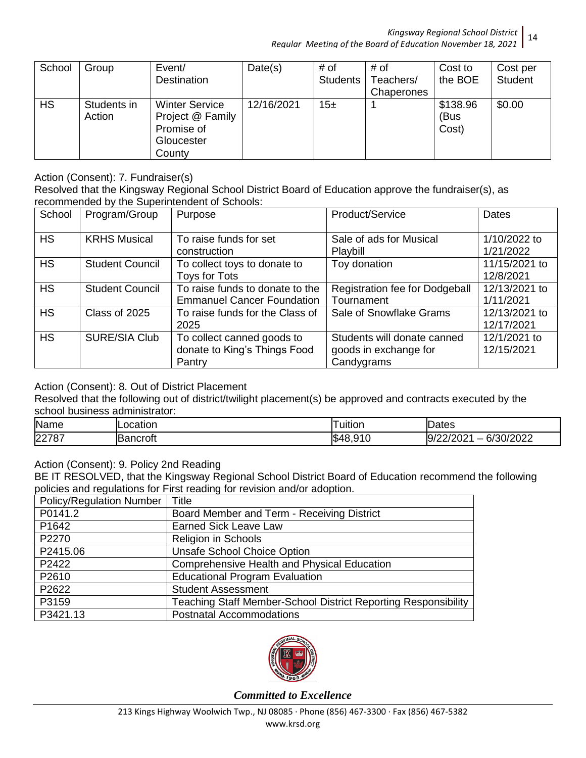| School    | Group                 | Event/<br><b>Destination</b>                                                    | Date(s)    | # of<br><b>Students</b> | # of<br>Teachers/<br>Chaperones | Cost to<br>the BOE        | Cost per<br><b>Student</b> |
|-----------|-----------------------|---------------------------------------------------------------------------------|------------|-------------------------|---------------------------------|---------------------------|----------------------------|
| <b>HS</b> | Students in<br>Action | <b>Winter Service</b><br>Project @ Family<br>Promise of<br>Gloucester<br>County | 12/16/2021 | 15 $\pm$                |                                 | \$138.96<br>(Bus<br>Cost) | \$0.00                     |

Action (Consent): 7. Fundraiser(s)

Resolved that the Kingsway Regional School District Board of Education approve the fundraiser(s), as recommended by the Superintendent of Schools:

| School    | Program/Group          | Purpose                                                              | Product/Service                                                    | Dates                       |
|-----------|------------------------|----------------------------------------------------------------------|--------------------------------------------------------------------|-----------------------------|
| <b>HS</b> | <b>KRHS Musical</b>    | To raise funds for set<br>construction                               | Sale of ads for Musical<br>Playbill                                | 1/10/2022 to<br>1/21/2022   |
| <b>HS</b> | <b>Student Council</b> | To collect toys to donate to<br><b>Toys for Tots</b>                 | Toy donation                                                       | 11/15/2021 to<br>12/8/2021  |
| <b>HS</b> | <b>Student Council</b> | To raise funds to donate to the<br><b>Emmanuel Cancer Foundation</b> | Registration fee for Dodgeball<br>Tournament                       | 12/13/2021 to<br>1/11/2021  |
| <b>HS</b> | Class of 2025          | To raise funds for the Class of<br>2025                              | Sale of Snowflake Grams                                            | 12/13/2021 to<br>12/17/2021 |
| <b>HS</b> | <b>SURE/SIA Club</b>   | To collect canned goods to<br>donate to King's Things Food<br>Pantry | Students will donate canned<br>goods in exchange for<br>Candygrams | 12/1/2021 to<br>12/15/2021  |

Action (Consent): 8. Out of District Placement

Resolved that the following out of district/twilight placement(s) be approved and contracts executed by the school business administrator:

| Name             | $\sim$<br>nc<br>Jaliul | --<br>uition               | ates                                                                           |
|------------------|------------------------|----------------------------|--------------------------------------------------------------------------------|
| 227 <sup>p</sup> | $ -$<br>ncrot.         | \$∘<br>៱៱<br><u>n</u><br>v | 1/2022<br>r 10<br>IЧ,<br>າເ ມ<br>$\overline{\phantom{0}}$<br>O7<br>៸∠∪∠<br>ישו |

Action (Consent): 9. Policy 2nd Reading

BE IT RESOLVED, that the Kingsway Regional School District Board of Education recommend the following policies and regulations for First reading for revision and/or adoption.

| <b>Policy/Regulation Number</b> | <b>Title</b>                                                          |
|---------------------------------|-----------------------------------------------------------------------|
| P0141.2                         | Board Member and Term - Receiving District                            |
| P1642                           | <b>Earned Sick Leave Law</b>                                          |
| P2270                           | <b>Religion in Schools</b>                                            |
| P2415.06                        | <b>Unsafe School Choice Option</b>                                    |
| P2422                           | Comprehensive Health and Physical Education                           |
| P2610                           | <b>Educational Program Evaluation</b>                                 |
| P2622                           | <b>Student Assessment</b>                                             |
| P3159                           | <b>Teaching Staff Member-School District Reporting Responsibility</b> |
| P3421.13                        | <b>Postnatal Accommodations</b>                                       |

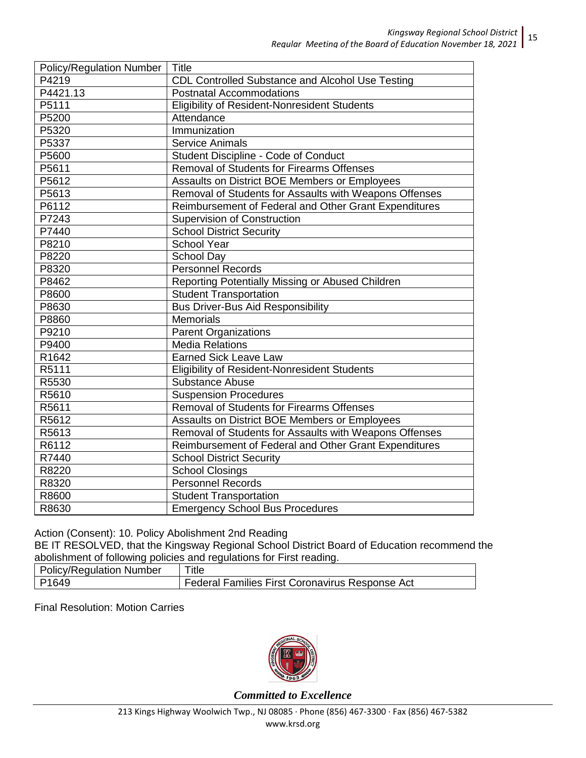| <b>Policy/Regulation Number</b> | <b>Title</b>                                           |
|---------------------------------|--------------------------------------------------------|
| P4219                           | CDL Controlled Substance and Alcohol Use Testing       |
| P4421.13                        | <b>Postnatal Accommodations</b>                        |
| P5111                           | Eligibility of Resident-Nonresident Students           |
| P5200                           | Attendance                                             |
| P5320                           | Immunization                                           |
| P5337                           | <b>Service Animals</b>                                 |
| P5600                           | Student Discipline - Code of Conduct                   |
| P5611                           | <b>Removal of Students for Firearms Offenses</b>       |
| P5612                           | Assaults on District BOE Members or Employees          |
| P5613                           | Removal of Students for Assaults with Weapons Offenses |
| P6112                           | Reimbursement of Federal and Other Grant Expenditures  |
| P7243                           | <b>Supervision of Construction</b>                     |
| P7440                           | <b>School District Security</b>                        |
| P8210                           | <b>School Year</b>                                     |
| P8220                           | School Day                                             |
| P8320                           | <b>Personnel Records</b>                               |
| P8462                           | Reporting Potentially Missing or Abused Children       |
| P8600                           | <b>Student Transportation</b>                          |
| P8630                           | <b>Bus Driver-Bus Aid Responsibility</b>               |
| P8860                           | <b>Memorials</b>                                       |
| P9210                           | <b>Parent Organizations</b>                            |
| P9400                           | <b>Media Relations</b>                                 |
| R1642                           | <b>Earned Sick Leave Law</b>                           |
| R5111                           | <b>Eligibility of Resident-Nonresident Students</b>    |
| R5530                           | <b>Substance Abuse</b>                                 |
| R5610                           | <b>Suspension Procedures</b>                           |
| R5611                           | <b>Removal of Students for Firearms Offenses</b>       |
| R5612                           | Assaults on District BOE Members or Employees          |
| R5613                           | Removal of Students for Assaults with Weapons Offenses |
| R6112                           | Reimbursement of Federal and Other Grant Expenditures  |
| R7440                           | <b>School District Security</b>                        |
| R8220                           | <b>School Closings</b>                                 |
| R8320                           | Personnel Records                                      |
| R8600                           | <b>Student Transportation</b>                          |
| R8630                           | <b>Emergency School Bus Procedures</b>                 |

Action (Consent): 10. Policy Abolishment 2nd Reading

BE IT RESOLVED, that the Kingsway Regional School District Board of Education recommend the abolishment of following policies and regulations for First reading.

| <b>Policy/Regulation Number</b> | $T$ itle                                        |
|---------------------------------|-------------------------------------------------|
| P <sub>1649</sub>               | Federal Families First Coronavirus Response Act |

Final Resolution: Motion Carries

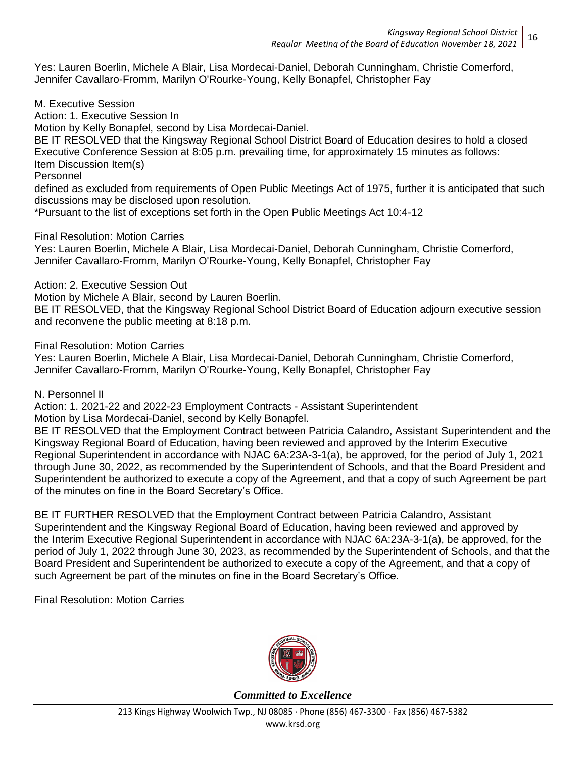Yes: Lauren Boerlin, Michele A Blair, Lisa Mordecai-Daniel, Deborah Cunningham, Christie Comerford, Jennifer Cavallaro-Fromm, Marilyn O'Rourke-Young, Kelly Bonapfel, Christopher Fay

M. Executive Session

Action: 1. Executive Session In

Motion by Kelly Bonapfel, second by Lisa Mordecai-Daniel.

BE IT RESOLVED that the Kingsway Regional School District Board of Education desires to hold a closed Executive Conference Session at 8:05 p.m. prevailing time, for approximately 15 minutes as follows: Item Discussion Item(s)

Personnel

defined as excluded from requirements of Open Public Meetings Act of 1975, further it is anticipated that such discussions may be disclosed upon resolution.

\*Pursuant to the list of exceptions set forth in the Open Public Meetings Act 10:4-12

Final Resolution: Motion Carries

Yes: Lauren Boerlin, Michele A Blair, Lisa Mordecai-Daniel, Deborah Cunningham, Christie Comerford, Jennifer Cavallaro-Fromm, Marilyn O'Rourke-Young, Kelly Bonapfel, Christopher Fay

Action: 2. Executive Session Out

Motion by Michele A Blair, second by Lauren Boerlin.

BE IT RESOLVED, that the Kingsway Regional School District Board of Education adjourn executive session and reconvene the public meeting at 8:18 p.m.

Final Resolution: Motion Carries

Yes: Lauren Boerlin, Michele A Blair, Lisa Mordecai-Daniel, Deborah Cunningham, Christie Comerford, Jennifer Cavallaro-Fromm, Marilyn O'Rourke-Young, Kelly Bonapfel, Christopher Fay

N. Personnel II

Action: 1. 2021-22 and 2022-23 Employment Contracts - Assistant Superintendent Motion by Lisa Mordecai-Daniel, second by Kelly Bonapfel.

BE IT RESOLVED that the Employment Contract between Patricia Calandro, Assistant Superintendent and the Kingsway Regional Board of Education, having been reviewed and approved by the Interim Executive Regional Superintendent in accordance with NJAC 6A:23A-3-1(a), be approved, for the period of July 1, 2021 through June 30, 2022, as recommended by the Superintendent of Schools, and that the Board President and Superintendent be authorized to execute a copy of the Agreement, and that a copy of such Agreement be part of the minutes on fine in the Board Secretary's Office.

BE IT FURTHER RESOLVED that the Employment Contract between Patricia Calandro, Assistant Superintendent and the Kingsway Regional Board of Education, having been reviewed and approved by the Interim Executive Regional Superintendent in accordance with NJAC 6A:23A-3-1(a), be approved, for the period of July 1, 2022 through June 30, 2023, as recommended by the Superintendent of Schools, and that the Board President and Superintendent be authorized to execute a copy of the Agreement, and that a copy of such Agreement be part of the minutes on fine in the Board Secretary's Office.

Final Resolution: Motion Carries

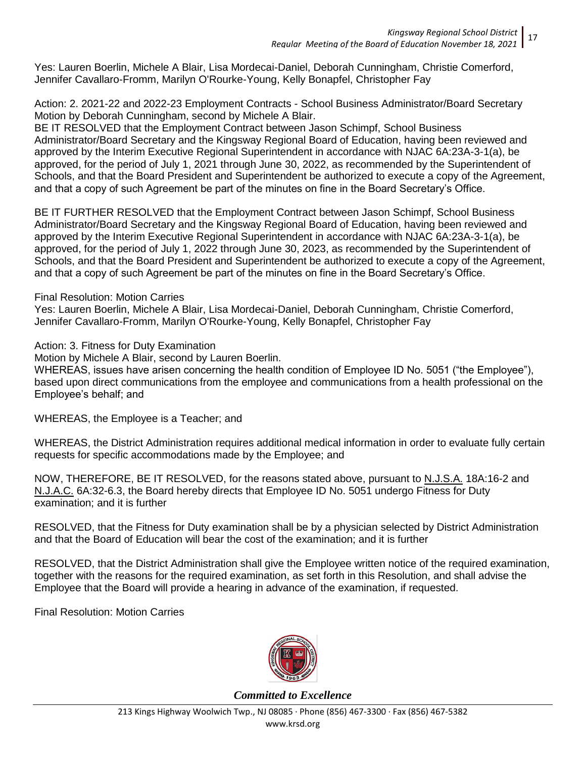Yes: Lauren Boerlin, Michele A Blair, Lisa Mordecai-Daniel, Deborah Cunningham, Christie Comerford, Jennifer Cavallaro-Fromm, Marilyn O'Rourke-Young, Kelly Bonapfel, Christopher Fay

Action: 2. 2021-22 and 2022-23 Employment Contracts - School Business Administrator/Board Secretary Motion by Deborah Cunningham, second by Michele A Blair.

BE IT RESOLVED that the Employment Contract between Jason Schimpf, School Business Administrator/Board Secretary and the Kingsway Regional Board of Education, having been reviewed and approved by the Interim Executive Regional Superintendent in accordance with NJAC 6A:23A-3-1(a), be approved, for the period of July 1, 2021 through June 30, 2022, as recommended by the Superintendent of Schools, and that the Board President and Superintendent be authorized to execute a copy of the Agreement, and that a copy of such Agreement be part of the minutes on fine in the Board Secretary's Office.

BE IT FURTHER RESOLVED that the Employment Contract between Jason Schimpf, School Business Administrator/Board Secretary and the Kingsway Regional Board of Education, having been reviewed and approved by the Interim Executive Regional Superintendent in accordance with NJAC 6A:23A-3-1(a), be approved, for the period of July 1, 2022 through June 30, 2023, as recommended by the Superintendent of Schools, and that the Board President and Superintendent be authorized to execute a copy of the Agreement, and that a copy of such Agreement be part of the minutes on fine in the Board Secretary's Office.

#### Final Resolution: Motion Carries

Yes: Lauren Boerlin, Michele A Blair, Lisa Mordecai-Daniel, Deborah Cunningham, Christie Comerford, Jennifer Cavallaro-Fromm, Marilyn O'Rourke-Young, Kelly Bonapfel, Christopher Fay

Action: 3. Fitness for Duty Examination

Motion by Michele A Blair, second by Lauren Boerlin.

WHEREAS, issues have arisen concerning the health condition of Employee ID No. 5051 ("the Employee"), based upon direct communications from the employee and communications from a health professional on the Employee's behalf; and

WHEREAS, the Employee is a Teacher; and

WHEREAS, the District Administration requires additional medical information in order to evaluate fully certain requests for specific accommodations made by the Employee; and

NOW, THEREFORE, BE IT RESOLVED, for the reasons stated above, pursuant to N.J.S.A. 18A:16-2 and N.J.A.C. 6A:32-6.3, the Board hereby directs that Employee ID No. 5051 undergo Fitness for Duty examination; and it is further

RESOLVED, that the Fitness for Duty examination shall be by a physician selected by District Administration and that the Board of Education will bear the cost of the examination; and it is further

RESOLVED, that the District Administration shall give the Employee written notice of the required examination, together with the reasons for the required examination, as set forth in this Resolution, and shall advise the Employee that the Board will provide a hearing in advance of the examination, if requested.

Final Resolution: Motion Carries